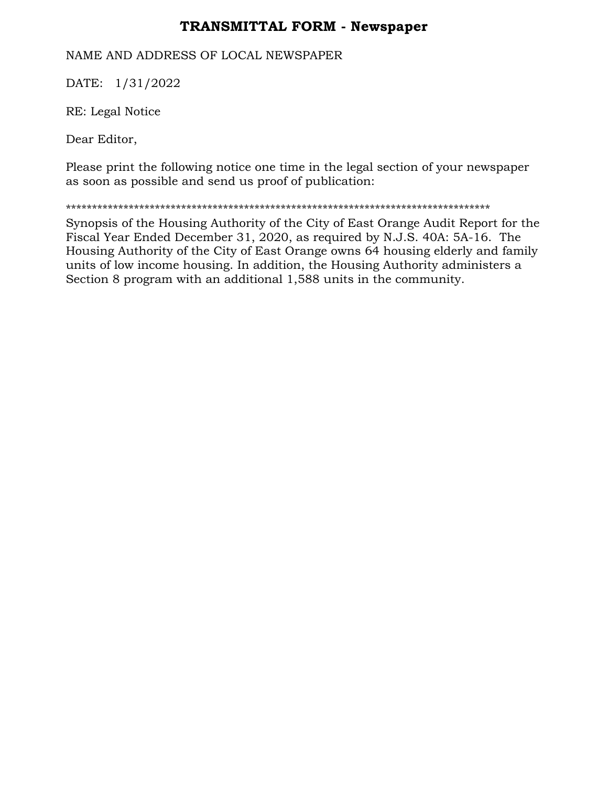## **TRANSMITTAL FORM - Newspaper**

## NAME AND ADDRESS OF LOCAL NEWSPAPER

DATE: 1/31/2022

RE: Legal Notice

Dear Editor,

Please print the following notice one time in the legal section of your newspaper as soon as possible and send us proof of publication:

\*\*\*\*\*\*\*\*\*\*\*\*\*\*\*\*\*\*\*\*\*\*\*\*\*\*\*\*\*\*\*\*\*\*\*\*\*\*\*\*\*\*\*\*\*\*\*\*\*\*\*\*\*\*\*\*\*\*\*\*\*\*\*\*\*\*\*\*\*\*\*\*\*\*\*\*\*\*\*\*\*

Synopsis of the Housing Authority of the City of East Orange Audit Report for the Fiscal Year Ended December 31, 2020, as required by N.J.S. 40A: 5A-16. The Housing Authority of the City of East Orange owns 64 housing elderly and family units of low income housing. In addition, the Housing Authority administers a Section 8 program with an additional 1,588 units in the community.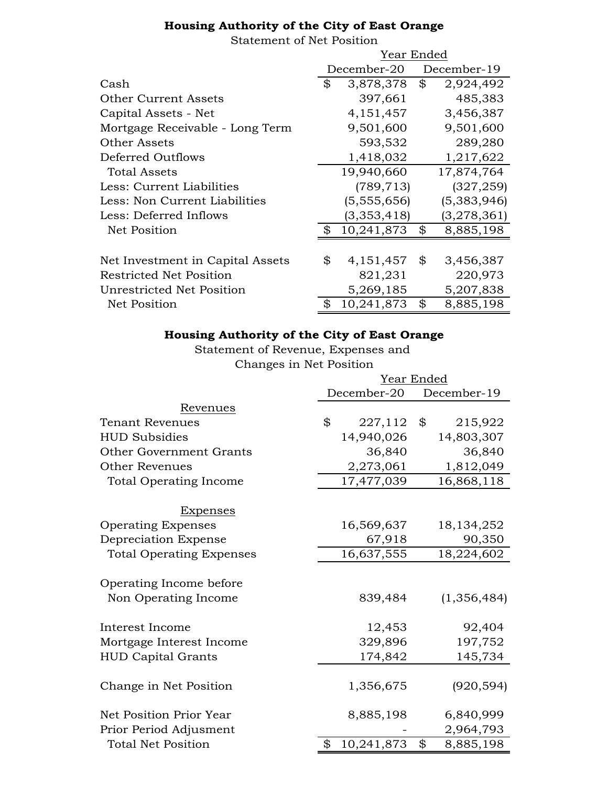## **Housing Authority of the City of East Orange**

Statement of Net Position

|                                  | Year Ended |             |    |             |
|----------------------------------|------------|-------------|----|-------------|
|                                  |            | December-20 |    | December-19 |
| Cash                             | \$         | 3,878,378   | \$ | 2,924,492   |
| <b>Other Current Assets</b>      |            | 397,661     |    | 485,383     |
| Capital Assets - Net             |            | 4, 151, 457 |    | 3,456,387   |
| Mortgage Receivable - Long Term  |            | 9,501,600   |    | 9,501,600   |
| <b>Other Assets</b>              |            | 593,532     |    | 289,280     |
| Deferred Outflows                |            | 1,418,032   |    | 1,217,622   |
| Total Assets                     |            | 19,940,660  |    | 17,874,764  |
| Less: Current Liabilities        |            | (789, 713)  |    | (327, 259)  |
| Less: Non Current Liabilities    |            | (5,555,656) |    | (5,383,946) |
| Less: Deferred Inflows           |            | (3,353,418) |    | (3,278,361) |
| Net Position                     |            | 10,241,873  | \$ | 8,885,198   |
|                                  |            |             |    |             |
| Net Investment in Capital Assets | \$         | 4,151,457   | \$ | 3,456,387   |
| <b>Restricted Net Position</b>   |            | 821,231     |    | 220,973     |
| <b>Unrestricted Net Position</b> |            | 5,269,185   |    | 5,207,838   |
| <b>Net Position</b>              |            | 10,241,873  | \$ | 8,885,198   |

## **Housing Authority of the City of East Orange**

Statement of Revenue, Expenses and Changes in Net Position

|                                 | Year Ended       |    |              |  |
|---------------------------------|------------------|----|--------------|--|
|                                 | December-20      |    | December-19  |  |
| Revenues                        |                  |    |              |  |
| <b>Tenant Revenues</b>          | \$<br>227,112    | \$ | 215,922      |  |
| <b>HUD Subsidies</b>            | 14,940,026       |    | 14,803,307   |  |
| Other Government Grants         | 36,840           |    | 36,840       |  |
| <b>Other Revenues</b>           | 2,273,061        |    | 1,812,049    |  |
| <b>Total Operating Income</b>   | 17,477,039       |    | 16,868,118   |  |
| <u>Expenses</u>                 |                  |    |              |  |
| <b>Operating Expenses</b>       | 16,569,637       |    | 18, 134, 252 |  |
| Depreciation Expense            | 67,918           |    | 90,350       |  |
| <b>Total Operating Expenses</b> | 16,637,555       |    | 18,224,602   |  |
| Operating Income before         |                  |    |              |  |
| Non Operating Income            | 839,484          |    | (1,356,484)  |  |
| Interest Income                 | 12,453           |    | 92,404       |  |
| Mortgage Interest Income        | 329,896          |    | 197,752      |  |
| <b>HUD Capital Grants</b>       | 174,842          |    | 145,734      |  |
| Change in Net Position          | 1,356,675        |    | (920, 594)   |  |
| Net Position Prior Year         | 8,885,198        |    | 6,840,999    |  |
| Prior Period Adjusment          |                  |    | 2,964,793    |  |
| <b>Total Net Position</b>       | \$<br>10,241,873 | \$ | 8,885,198    |  |